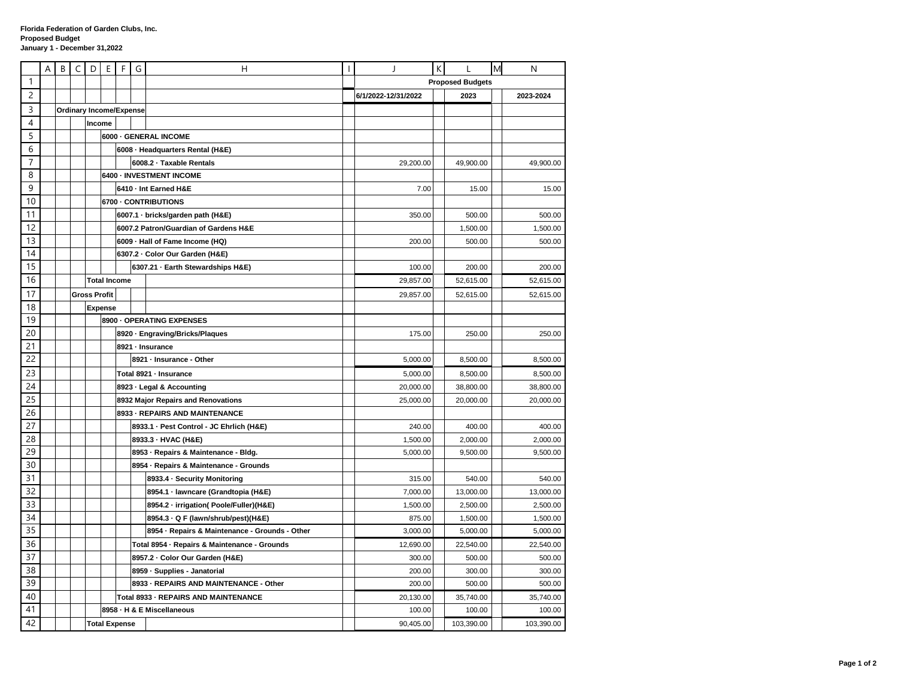|                | A | B | C                    | D                   | Ε                                    | F | G | Н                                              |  |                         | K |            | M | N          |
|----------------|---|---|----------------------|---------------------|--------------------------------------|---|---|------------------------------------------------|--|-------------------------|---|------------|---|------------|
| 1              |   |   |                      |                     |                                      |   |   |                                                |  | <b>Proposed Budgets</b> |   |            |   |            |
| $\overline{c}$ |   |   |                      |                     |                                      |   |   |                                                |  | 6/1/2022-12/31/2022     |   | 2023       |   | 2023-2024  |
| 3              |   |   |                      |                     | <b>Ordinary Income/Expense</b>       |   |   |                                                |  |                         |   |            |   |            |
| $\overline{4}$ |   |   |                      |                     | Income                               |   |   |                                                |  |                         |   |            |   |            |
| 5              |   |   |                      |                     |                                      |   |   | 6000 - GENERAL INCOME                          |  |                         |   |            |   |            |
| 6              |   |   |                      |                     | 6008 - Headquarters Rental (H&E)     |   |   |                                                |  |                         |   |            |   |            |
| $\overline{7}$ |   |   |                      |                     |                                      |   |   | 6008.2 · Taxable Rentals                       |  | 29,200.00               |   | 49,900.00  |   | 49,900.00  |
| 8              |   |   |                      |                     |                                      |   |   | 6400 - INVESTMENT INCOME                       |  |                         |   |            |   |            |
| 9              |   |   |                      |                     |                                      |   |   | 6410 - Int Earned H&E                          |  | 7.00                    |   | 15.00      |   | 15.00      |
| 10             |   |   |                      |                     | 6700 - CONTRIBUTIONS                 |   |   |                                                |  |                         |   |            |   |            |
| 11             |   |   |                      |                     |                                      |   |   | 6007.1 · bricks/garden path (H&E)              |  | 350.00                  |   | 500.00     |   | 500.00     |
| 12             |   |   |                      |                     |                                      |   |   | 6007.2 Patron/Guardian of Gardens H&E          |  |                         |   | 1,500.00   |   | 1,500.00   |
| 13             |   |   |                      |                     |                                      |   |   | 6009 · Hall of Fame Income (HQ)                |  | 200.00                  |   | 500.00     |   | 500.00     |
| 14             |   |   |                      |                     |                                      |   |   | 6307.2 · Color Our Garden (H&E)                |  |                         |   |            |   |            |
| 15             |   |   |                      |                     |                                      |   |   | 6307.21 - Earth Stewardships H&E)              |  | 100.00                  |   | 200.00     |   | 200.00     |
| 16             |   |   |                      |                     | <b>Total Income</b>                  |   |   |                                                |  | 29,857.00               |   | 52,615.00  |   | 52,615.00  |
| 17             |   |   |                      | <b>Gross Profit</b> |                                      |   |   |                                                |  | 29,857.00               |   | 52,615.00  |   | 52,615.00  |
| 18             |   |   |                      |                     | <b>Expense</b>                       |   |   |                                                |  |                         |   |            |   |            |
| 19             |   |   |                      |                     |                                      |   |   | 8900 - OPERATING EXPENSES                      |  |                         |   |            |   |            |
| 20             |   |   |                      |                     |                                      |   |   | 8920 · Engraving/Bricks/Plaques                |  | 175.00                  |   | 250.00     |   | 250.00     |
| 21             |   |   |                      |                     |                                      |   |   | 8921 · Insurance                               |  |                         |   |            |   |            |
| 22             |   |   |                      |                     |                                      |   |   | 8921 - Insurance - Other                       |  | 5,000.00                |   | 8,500.00   |   | 8,500.00   |
| 23             |   |   |                      |                     |                                      |   |   | Total 8921 - Insurance                         |  | 5,000.00                |   | 8,500.00   |   | 8,500.00   |
| 24             |   |   |                      |                     |                                      |   |   | 8923 - Legal & Accounting                      |  | 20,000.00               |   | 38,800.00  |   | 38,800.00  |
| 25             |   |   |                      |                     |                                      |   |   | 8932 Major Repairs and Renovations             |  | 25,000.00               |   | 20,000.00  |   | 20,000.00  |
| 26             |   |   |                      |                     |                                      |   |   | 8933 - REPAIRS AND MAINTENANCE                 |  |                         |   |            |   |            |
| 27             |   |   |                      |                     |                                      |   |   | 8933.1 - Pest Control - JC Ehrlich (H&E)       |  | 240.00                  |   | 400.00     |   | 400.00     |
| 28             |   |   |                      |                     |                                      |   |   | 8933.3 - HVAC (H&E)                            |  | 1,500.00                |   | 2,000.00   |   | 2,000.00   |
| 29             |   |   |                      |                     |                                      |   |   | 8953 - Repairs & Maintenance - Bldg.           |  | 5,000.00                |   | 9,500.00   |   | 9,500.00   |
| 30             |   |   |                      |                     |                                      |   |   | 8954 · Repairs & Maintenance - Grounds         |  |                         |   |            |   |            |
| 31             |   |   |                      |                     |                                      |   |   | 8933.4 · Security Monitoring                   |  | 315.00                  |   | 540.00     |   | 540.00     |
| 32             |   |   |                      |                     |                                      |   |   | 8954.1 · lawncare (Grandtopia (H&E)            |  | 7,000.00                |   | 13,000.00  |   | 13,000.00  |
| 33             |   |   |                      |                     |                                      |   |   | 8954.2 - irrigation( Poole/Fuller)(H&E)        |  | 1,500.00                |   | 2,500.00   |   | 2,500.00   |
| 34             |   |   |                      |                     |                                      |   |   | 8954.3 Q F (lawn/shrub/pest)(H&E)              |  | 875.00                  |   | 1,500.00   |   | 1,500.00   |
| 35             |   |   |                      |                     |                                      |   |   | 8954 · Repairs & Maintenance - Grounds - Other |  | 3,000.00                |   | 5,000.00   |   | 5,000.00   |
| 36             |   |   |                      |                     |                                      |   |   | Total 8954 · Repairs & Maintenance - Grounds   |  | 12,690.00               |   | 22,540.00  |   | 22,540.00  |
| 37             |   |   |                      |                     |                                      |   |   | 8957.2 · Color Our Garden (H&E)                |  | 300.00                  |   | 500.00     |   | 500.00     |
| 38             |   |   |                      |                     |                                      |   |   | 8959 · Supplies - Janatorial                   |  | 200.00                  |   | 300.00     |   | 300.00     |
| 39             |   |   |                      |                     |                                      |   |   | 8933 - REPAIRS AND MAINTENANCE - Other         |  | 200.00                  |   | 500.00     |   | 500.00     |
| 40             |   |   |                      |                     | Total 8933 - REPAIRS AND MAINTENANCE |   |   |                                                |  | 20,130.00               |   | 35,740.00  |   | 35,740.00  |
| 41             |   |   |                      |                     |                                      |   |   | 8958 - H & E Miscellaneous                     |  | 100.00                  |   | 100.00     |   | 100.00     |
| 42             |   |   | <b>Total Expense</b> |                     |                                      |   |   |                                                |  | 90,405.00               |   | 103,390.00 |   | 103,390.00 |